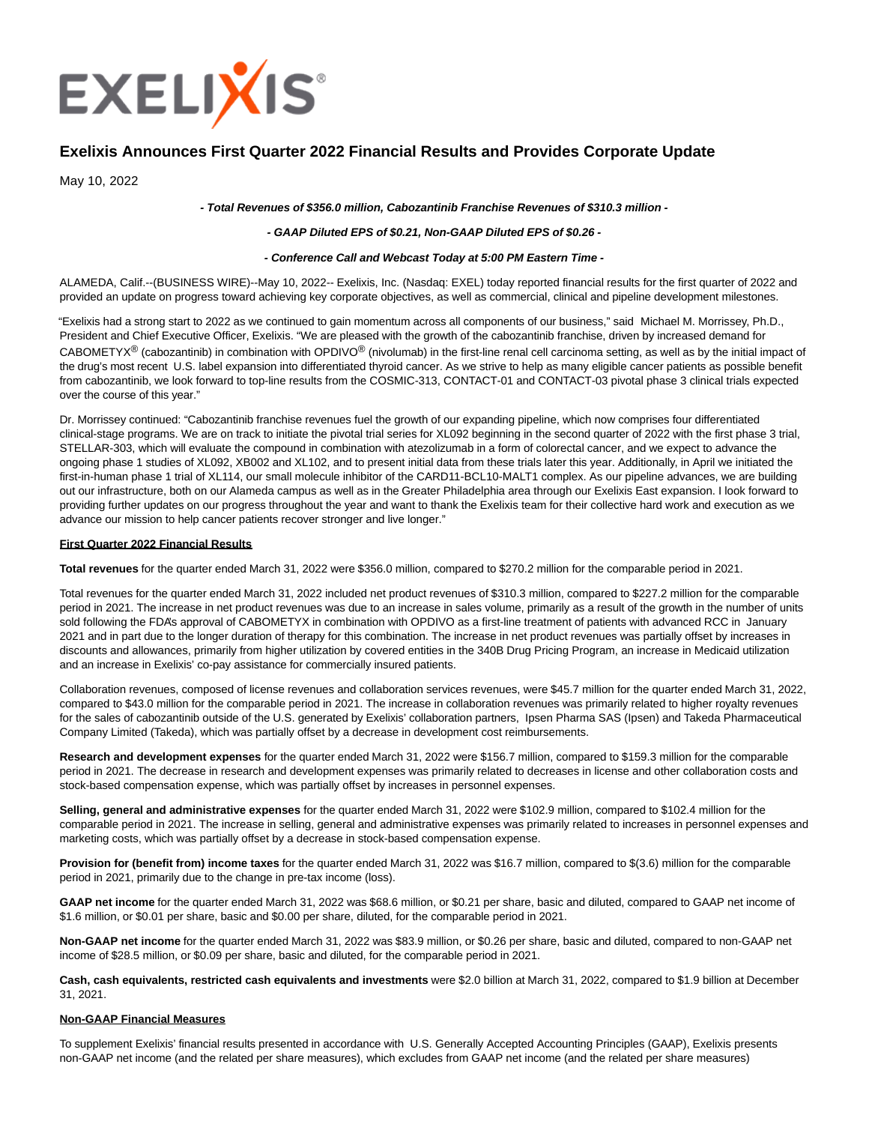

# **Exelixis Announces First Quarter 2022 Financial Results and Provides Corporate Update**

May 10, 2022

## **- Total Revenues of \$356.0 million, Cabozantinib Franchise Revenues of \$310.3 million -**

## **- GAAP Diluted EPS of \$0.21, Non-GAAP Diluted EPS of \$0.26 -**

#### **- Conference Call and Webcast Today at 5:00 PM Eastern Time -**

ALAMEDA, Calif.--(BUSINESS WIRE)--May 10, 2022-- Exelixis, Inc. (Nasdaq: EXEL) today reported financial results for the first quarter of 2022 and provided an update on progress toward achieving key corporate objectives, as well as commercial, clinical and pipeline development milestones.

"Exelixis had a strong start to 2022 as we continued to gain momentum across all components of our business," said Michael M. Morrissey, Ph.D., President and Chief Executive Officer, Exelixis. "We are pleased with the growth of the cabozantinib franchise, driven by increased demand for CABOMETYX<sup>®</sup> (cabozantinib) in combination with OPDIVO<sup>®</sup> (nivolumab) in the first-line renal cell carcinoma setting, as well as by the initial impact of the drug's most recent U.S. label expansion into differentiated thyroid cancer. As we strive to help as many eligible cancer patients as possible benefit from cabozantinib, we look forward to top-line results from the COSMIC-313, CONTACT-01 and CONTACT-03 pivotal phase 3 clinical trials expected over the course of this year."

Dr. Morrissey continued: "Cabozantinib franchise revenues fuel the growth of our expanding pipeline, which now comprises four differentiated clinical-stage programs. We are on track to initiate the pivotal trial series for XL092 beginning in the second quarter of 2022 with the first phase 3 trial, STELLAR-303, which will evaluate the compound in combination with atezolizumab in a form of colorectal cancer, and we expect to advance the ongoing phase 1 studies of XL092, XB002 and XL102, and to present initial data from these trials later this year. Additionally, in April we initiated the first-in-human phase 1 trial of XL114, our small molecule inhibitor of the CARD11-BCL10-MALT1 complex. As our pipeline advances, we are building out our infrastructure, both on our Alameda campus as well as in the Greater Philadelphia area through our Exelixis East expansion. I look forward to providing further updates on our progress throughout the year and want to thank the Exelixis team for their collective hard work and execution as we advance our mission to help cancer patients recover stronger and live longer."

#### **First Quarter 2022 Financial Results**

**Total revenues** for the quarter ended March 31, 2022 were \$356.0 million, compared to \$270.2 million for the comparable period in 2021.

Total revenues for the quarter ended March 31, 2022 included net product revenues of \$310.3 million, compared to \$227.2 million for the comparable period in 2021. The increase in net product revenues was due to an increase in sales volume, primarily as a result of the growth in the number of units sold following the FDA's approval of CABOMETYX in combination with OPDIVO as a first-line treatment of patients with advanced RCC in January 2021 and in part due to the longer duration of therapy for this combination. The increase in net product revenues was partially offset by increases in discounts and allowances, primarily from higher utilization by covered entities in the 340B Drug Pricing Program, an increase in Medicaid utilization and an increase in Exelixis' co-pay assistance for commercially insured patients.

Collaboration revenues, composed of license revenues and collaboration services revenues, were \$45.7 million for the quarter ended March 31, 2022, compared to \$43.0 million for the comparable period in 2021. The increase in collaboration revenues was primarily related to higher royalty revenues for the sales of cabozantinib outside of the U.S. generated by Exelixis' collaboration partners, Ipsen Pharma SAS (Ipsen) and Takeda Pharmaceutical Company Limited (Takeda), which was partially offset by a decrease in development cost reimbursements.

**Research and development expenses** for the quarter ended March 31, 2022 were \$156.7 million, compared to \$159.3 million for the comparable period in 2021. The decrease in research and development expenses was primarily related to decreases in license and other collaboration costs and stock-based compensation expense, which was partially offset by increases in personnel expenses.

**Selling, general and administrative expenses** for the quarter ended March 31, 2022 were \$102.9 million, compared to \$102.4 million for the comparable period in 2021. The increase in selling, general and administrative expenses was primarily related to increases in personnel expenses and marketing costs, which was partially offset by a decrease in stock-based compensation expense.

**Provision for (benefit from) income taxes** for the quarter ended March 31, 2022 was \$16.7 million, compared to \$(3.6) million for the comparable period in 2021, primarily due to the change in pre-tax income (loss).

**GAAP net income** for the quarter ended March 31, 2022 was \$68.6 million, or \$0.21 per share, basic and diluted, compared to GAAP net income of \$1.6 million, or \$0.01 per share, basic and \$0.00 per share, diluted, for the comparable period in 2021.

**Non-GAAP net income** for the quarter ended March 31, 2022 was \$83.9 million, or \$0.26 per share, basic and diluted, compared to non-GAAP net income of \$28.5 million, or \$0.09 per share, basic and diluted, for the comparable period in 2021.

**Cash, cash equivalents, restricted cash equivalents and investments** were \$2.0 billion at March 31, 2022, compared to \$1.9 billion at December 31, 2021.

#### **Non-GAAP Financial Measures**

To supplement Exelixis' financial results presented in accordance with U.S. Generally Accepted Accounting Principles (GAAP), Exelixis presents non-GAAP net income (and the related per share measures), which excludes from GAAP net income (and the related per share measures)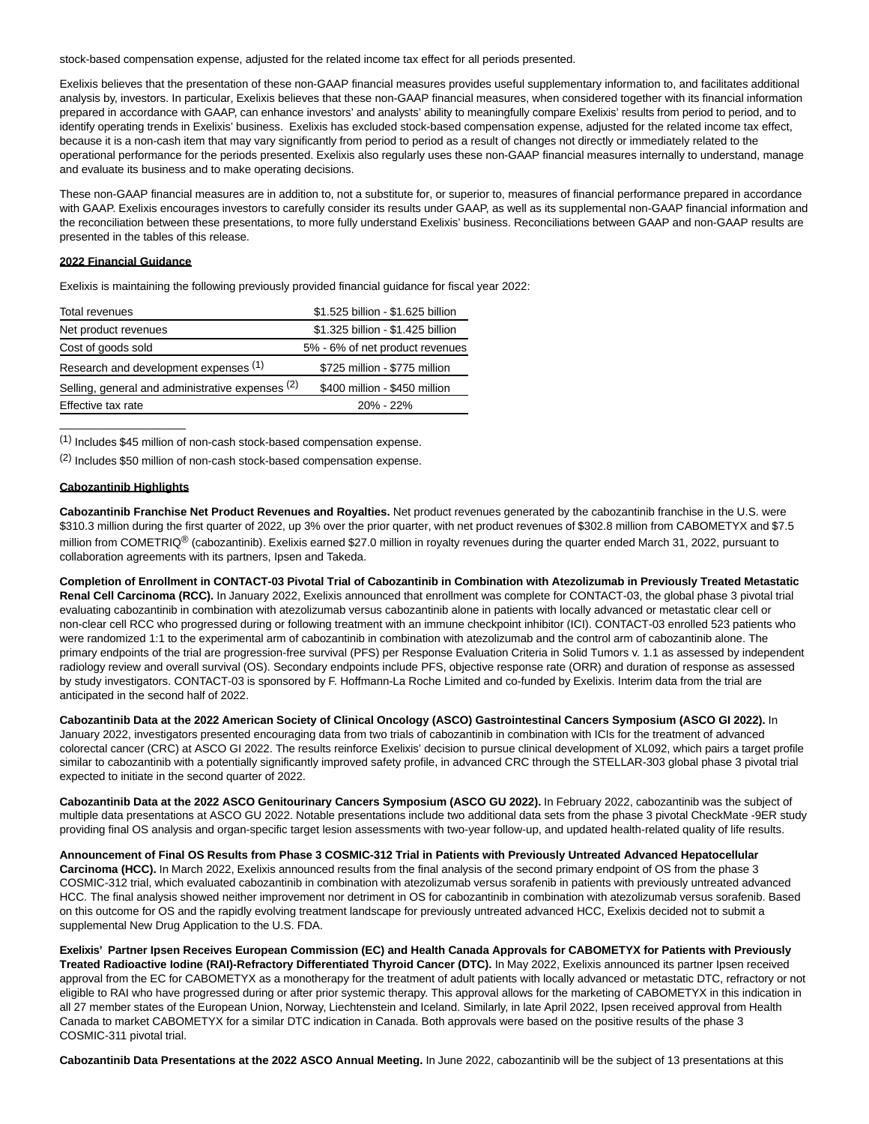stock-based compensation expense, adjusted for the related income tax effect for all periods presented.

Exelixis believes that the presentation of these non-GAAP financial measures provides useful supplementary information to, and facilitates additional analysis by, investors. In particular, Exelixis believes that these non-GAAP financial measures, when considered together with its financial information prepared in accordance with GAAP, can enhance investors' and analysts' ability to meaningfully compare Exelixis' results from period to period, and to identify operating trends in Exelixis' business. Exelixis has excluded stock-based compensation expense, adjusted for the related income tax effect, because it is a non-cash item that may vary significantly from period to period as a result of changes not directly or immediately related to the operational performance for the periods presented. Exelixis also regularly uses these non-GAAP financial measures internally to understand, manage and evaluate its business and to make operating decisions.

These non-GAAP financial measures are in addition to, not a substitute for, or superior to, measures of financial performance prepared in accordance with GAAP. Exelixis encourages investors to carefully consider its results under GAAP, as well as its supplemental non-GAAP financial information and the reconciliation between these presentations, to more fully understand Exelixis' business. Reconciliations between GAAP and non-GAAP results are presented in the tables of this release.

#### **2022 Financial Guidance**

Exelixis is maintaining the following previously provided financial guidance for fiscal year 2022:

| Total revenues                                   | \$1.525 billion - \$1.625 billion |  |  |
|--------------------------------------------------|-----------------------------------|--|--|
| Net product revenues                             | \$1.325 billion - \$1.425 billion |  |  |
| Cost of goods sold                               | 5% - 6% of net product revenues   |  |  |
| Research and development expenses (1)            | \$725 million - \$775 million     |  |  |
| Selling, general and administrative expenses (2) | \$400 million - \$450 million     |  |  |
| Effective tax rate                               | $20\% - 22\%$                     |  |  |

(1) Includes \$45 million of non-cash stock-based compensation expense.

(2) Includes \$50 million of non-cash stock-based compensation expense.

## **Cabozantinib Highlights**

\_\_\_\_\_\_\_\_\_\_\_\_\_\_\_\_\_\_\_\_

**Cabozantinib Franchise Net Product Revenues and Royalties.** Net product revenues generated by the cabozantinib franchise in the U.S. were \$310.3 million during the first quarter of 2022, up 3% over the prior quarter, with net product revenues of \$302.8 million from CABOMETYX and \$7.5 million from COMETRIQ<sup>®</sup> (cabozantinib). Exelixis earned \$27.0 million in royalty revenues during the quarter ended March 31, 2022, pursuant to collaboration agreements with its partners, Ipsen and Takeda.

**Completion of Enrollment in CONTACT-03 Pivotal Trial of Cabozantinib in Combination with Atezolizumab in Previously Treated Metastatic Renal Cell Carcinoma (RCC).** In January 2022, Exelixis announced that enrollment was complete for CONTACT-03, the global phase 3 pivotal trial evaluating cabozantinib in combination with atezolizumab versus cabozantinib alone in patients with locally advanced or metastatic clear cell or non-clear cell RCC who progressed during or following treatment with an immune checkpoint inhibitor (ICI). CONTACT-03 enrolled 523 patients who were randomized 1:1 to the experimental arm of cabozantinib in combination with atezolizumab and the control arm of cabozantinib alone. The primary endpoints of the trial are progression-free survival (PFS) per Response Evaluation Criteria in Solid Tumors v. 1.1 as assessed by independent radiology review and overall survival (OS). Secondary endpoints include PFS, objective response rate (ORR) and duration of response as assessed by study investigators. CONTACT-03 is sponsored by F. Hoffmann-La Roche Limited and co-funded by Exelixis. Interim data from the trial are anticipated in the second half of 2022.

**Cabozantinib Data at the 2022 American Society of Clinical Oncology (ASCO) Gastrointestinal Cancers Symposium (ASCO GI 2022).** In January 2022, investigators presented encouraging data from two trials of cabozantinib in combination with ICIs for the treatment of advanced colorectal cancer (CRC) at ASCO GI 2022. The results reinforce Exelixis' decision to pursue clinical development of XL092, which pairs a target profile similar to cabozantinib with a potentially significantly improved safety profile, in advanced CRC through the STELLAR-303 global phase 3 pivotal trial expected to initiate in the second quarter of 2022.

**Cabozantinib Data at the 2022 ASCO Genitourinary Cancers Symposium (ASCO GU 2022).** In February 2022, cabozantinib was the subject of multiple data presentations at ASCO GU 2022. Notable presentations include two additional data sets from the phase 3 pivotal CheckMate -9ER study providing final OS analysis and organ-specific target lesion assessments with two-year follow-up, and updated health-related quality of life results.

## **Announcement of Final OS Results from Phase 3 COSMIC-312 Trial in Patients with Previously Untreated Advanced Hepatocellular**

**Carcinoma (HCC).** In March 2022, Exelixis announced results from the final analysis of the second primary endpoint of OS from the phase 3 COSMIC-312 trial, which evaluated cabozantinib in combination with atezolizumab versus sorafenib in patients with previously untreated advanced HCC. The final analysis showed neither improvement nor detriment in OS for cabozantinib in combination with atezolizumab versus sorafenib. Based on this outcome for OS and the rapidly evolving treatment landscape for previously untreated advanced HCC, Exelixis decided not to submit a supplemental New Drug Application to the U.S. FDA.

**Exelixis' Partner Ipsen Receives European Commission (EC) and Health Canada Approvals for CABOMETYX for Patients with Previously Treated Radioactive Iodine (RAI)-Refractory Differentiated Thyroid Cancer (DTC).** In May 2022, Exelixis announced its partner Ipsen received approval from the EC for CABOMETYX as a monotherapy for the treatment of adult patients with locally advanced or metastatic DTC, refractory or not eligible to RAI who have progressed during or after prior systemic therapy. This approval allows for the marketing of CABOMETYX in this indication in all 27 member states of the European Union, Norway, Liechtenstein and Iceland. Similarly, in late April 2022, Ipsen received approval from Health Canada to market CABOMETYX for a similar DTC indication in Canada. Both approvals were based on the positive results of the phase 3 COSMIC-311 pivotal trial.

**Cabozantinib Data Presentations at the 2022 ASCO Annual Meeting.** In June 2022, cabozantinib will be the subject of 13 presentations at this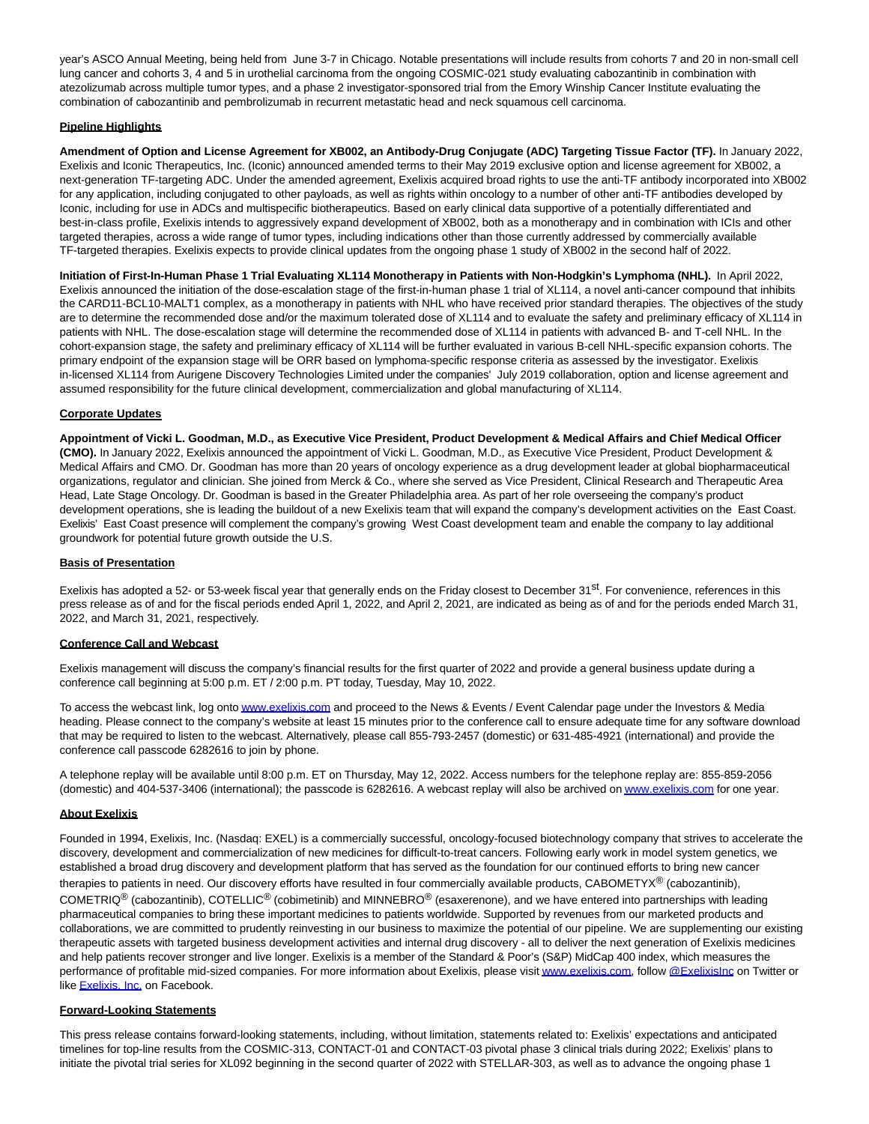year's ASCO Annual Meeting, being held from June 3-7 in Chicago. Notable presentations will include results from cohorts 7 and 20 in non-small cell lung cancer and cohorts 3, 4 and 5 in urothelial carcinoma from the ongoing COSMIC-021 study evaluating cabozantinib in combination with atezolizumab across multiple tumor types, and a phase 2 investigator-sponsored trial from the Emory Winship Cancer Institute evaluating the combination of cabozantinib and pembrolizumab in recurrent metastatic head and neck squamous cell carcinoma.

# **Pipeline Highlights**

**Amendment of Option and License Agreement for XB002, an Antibody-Drug Conjugate (ADC) Targeting Tissue Factor (TF).** In January 2022, Exelixis and Iconic Therapeutics, Inc. (Iconic) announced amended terms to their May 2019 exclusive option and license agreement for XB002, a next-generation TF-targeting ADC. Under the amended agreement, Exelixis acquired broad rights to use the anti-TF antibody incorporated into XB002 for any application, including conjugated to other payloads, as well as rights within oncology to a number of other anti-TF antibodies developed by Iconic, including for use in ADCs and multispecific biotherapeutics. Based on early clinical data supportive of a potentially differentiated and best-in-class profile, Exelixis intends to aggressively expand development of XB002, both as a monotherapy and in combination with ICIs and other targeted therapies, across a wide range of tumor types, including indications other than those currently addressed by commercially available TF-targeted therapies. Exelixis expects to provide clinical updates from the ongoing phase 1 study of XB002 in the second half of 2022.

**Initiation of First-In-Human Phase 1 Trial Evaluating XL114 Monotherapy in Patients with Non-Hodgkin's Lymphoma (NHL).** In April 2022, Exelixis announced the initiation of the dose-escalation stage of the first-in-human phase 1 trial of XL114, a novel anti-cancer compound that inhibits the CARD11-BCL10-MALT1 complex, as a monotherapy in patients with NHL who have received prior standard therapies. The objectives of the study are to determine the recommended dose and/or the maximum tolerated dose of XL114 and to evaluate the safety and preliminary efficacy of XL114 in patients with NHL. The dose-escalation stage will determine the recommended dose of XL114 in patients with advanced B- and T-cell NHL. In the cohort-expansion stage, the safety and preliminary efficacy of XL114 will be further evaluated in various B-cell NHL-specific expansion cohorts. The primary endpoint of the expansion stage will be ORR based on lymphoma-specific response criteria as assessed by the investigator. Exelixis in-licensed XL114 from Aurigene Discovery Technologies Limited under the companies' July 2019 collaboration, option and license agreement and assumed responsibility for the future clinical development, commercialization and global manufacturing of XL114.

# **Corporate Updates**

**Appointment of Vicki L. Goodman, M.D., as Executive Vice President, Product Development & Medical Affairs and Chief Medical Officer (CMO).** In January 2022, Exelixis announced the appointment of Vicki L. Goodman, M.D., as Executive Vice President, Product Development & Medical Affairs and CMO. Dr. Goodman has more than 20 years of oncology experience as a drug development leader at global biopharmaceutical organizations, regulator and clinician. She joined from Merck & Co., where she served as Vice President, Clinical Research and Therapeutic Area Head, Late Stage Oncology. Dr. Goodman is based in the Greater Philadelphia area. As part of her role overseeing the company's product development operations, she is leading the buildout of a new Exelixis team that will expand the company's development activities on the East Coast. Exelixis' East Coast presence will complement the company's growing West Coast development team and enable the company to lay additional groundwork for potential future growth outside the U.S.

# **Basis of Presentation**

Exelixis has adopted a 52- or 53-week fiscal year that generally ends on the Friday closest to December 31<sup>st</sup>. For convenience, references in this press release as of and for the fiscal periods ended April 1, 2022, and April 2, 2021, are indicated as being as of and for the periods ended March 31, 2022, and March 31, 2021, respectively.

# **Conference Call and Webcast**

Exelixis management will discuss the company's financial results for the first quarter of 2022 and provide a general business update during a conference call beginning at 5:00 p.m. ET / 2:00 p.m. PT today, Tuesday, May 10, 2022.

To access the webcast link, log ont[o www.exelixis.com a](https://cts.businesswire.com/ct/CT?id=smartlink&url=http%3A%2F%2Fwww.exelixis.com&esheet=52713212&newsitemid=20220509006077&lan=en-US&anchor=www.exelixis.com&index=1&md5=22aa587b4cae4d900c32a2877a72fd69)nd proceed to the News & Events / Event Calendar page under the Investors & Media heading. Please connect to the company's website at least 15 minutes prior to the conference call to ensure adequate time for any software download that may be required to listen to the webcast. Alternatively, please call 855-793-2457 (domestic) or 631-485-4921 (international) and provide the conference call passcode 6282616 to join by phone.

A telephone replay will be available until 8:00 p.m. ET on Thursday, May 12, 2022. Access numbers for the telephone replay are: 855-859-2056 (domestic) and 404-537-3406 (international); the passcode is 6282616. A webcast replay will also be archived o[n www.exelixis.com f](https://cts.businesswire.com/ct/CT?id=smartlink&url=http%3A%2F%2Fwww.exelixis.com&esheet=52713212&newsitemid=20220509006077&lan=en-US&anchor=www.exelixis.com&index=2&md5=1fd509c352bc1d0da26fb8af9ea8a53f)or one year.

# **About Exelixis**

Founded in 1994, Exelixis, Inc. (Nasdaq: EXEL) is a commercially successful, oncology-focused biotechnology company that strives to accelerate the discovery, development and commercialization of new medicines for difficult-to-treat cancers. Following early work in model system genetics, we established a broad drug discovery and development platform that has served as the foundation for our continued efforts to bring new cancer therapies to patients in need. Our discovery efforts have resulted in four commercially available products, CABOMETYX® (cabozantinib), COMETRIQ® (cabozantinib), COTELLIC® (cobimetinib) and MINNEBRO® (esaxerenone), and we have entered into partnerships with leading pharmaceutical companies to bring these important medicines to patients worldwide. Supported by revenues from our marketed products and collaborations, we are committed to prudently reinvesting in our business to maximize the potential of our pipeline. We are supplementing our existing therapeutic assets with targeted business development activities and internal drug discovery - all to deliver the next generation of Exelixis medicines and help patients recover stronger and live longer. Exelixis is a member of the Standard & Poor's (S&P) MidCap 400 index, which measures the performance of profitable mid-sized companies. For more information about Exelixis, please visi[t www.exelixis.com,](https://cts.businesswire.com/ct/CT?id=smartlink&url=http%3A%2F%2Fwww.exelixis.com&esheet=52713212&newsitemid=20220509006077&lan=en-US&anchor=www.exelixis.com&index=3&md5=560f83e5ecc07a10d85a85de0a5eb1a6) follow @Exelixislnc on Twitter or lik[e Exelixis, Inc. o](https://cts.businesswire.com/ct/CT?id=smartlink&url=https%3A%2F%2Fwww.facebook.com%2FExelixisInc&esheet=52713212&newsitemid=20220509006077&lan=en-US&anchor=Exelixis%2C+Inc.&index=5&md5=d7b6727ff8d4e131fe94454af242770c)n Facebook.

# **Forward-Looking Statements**

This press release contains forward-looking statements, including, without limitation, statements related to: Exelixis' expectations and anticipated timelines for top-line results from the COSMIC-313, CONTACT-01 and CONTACT-03 pivotal phase 3 clinical trials during 2022; Exelixis' plans to initiate the pivotal trial series for XL092 beginning in the second quarter of 2022 with STELLAR-303, as well as to advance the ongoing phase 1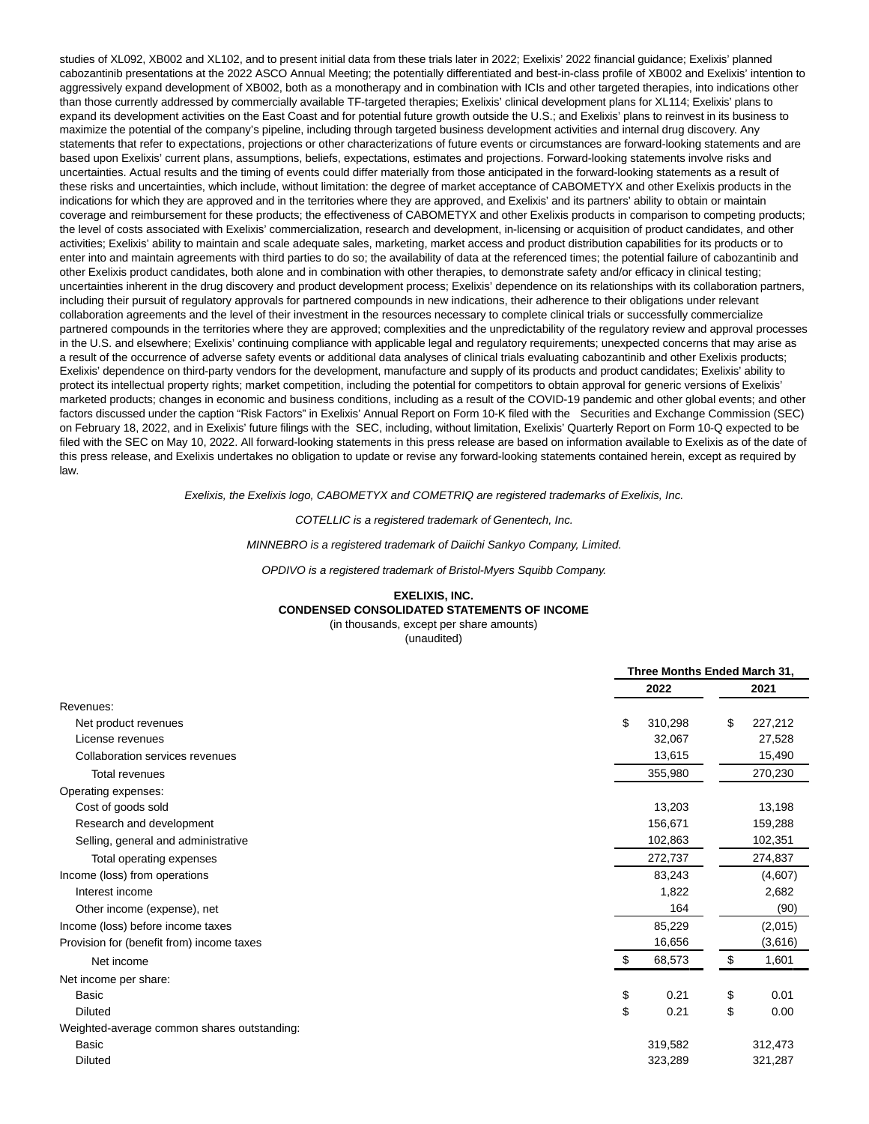studies of XL092, XB002 and XL102, and to present initial data from these trials later in 2022; Exelixis' 2022 financial guidance; Exelixis' planned cabozantinib presentations at the 2022 ASCO Annual Meeting; the potentially differentiated and best-in-class profile of XB002 and Exelixis' intention to aggressively expand development of XB002, both as a monotherapy and in combination with ICIs and other targeted therapies, into indications other than those currently addressed by commercially available TF-targeted therapies; Exelixis' clinical development plans for XL114; Exelixis' plans to expand its development activities on the East Coast and for potential future growth outside the U.S.; and Exelixis' plans to reinvest in its business to maximize the potential of the company's pipeline, including through targeted business development activities and internal drug discovery. Any statements that refer to expectations, projections or other characterizations of future events or circumstances are forward-looking statements and are based upon Exelixis' current plans, assumptions, beliefs, expectations, estimates and projections. Forward-looking statements involve risks and uncertainties. Actual results and the timing of events could differ materially from those anticipated in the forward-looking statements as a result of these risks and uncertainties, which include, without limitation: the degree of market acceptance of CABOMETYX and other Exelixis products in the indications for which they are approved and in the territories where they are approved, and Exelixis' and its partners' ability to obtain or maintain coverage and reimbursement for these products; the effectiveness of CABOMETYX and other Exelixis products in comparison to competing products; the level of costs associated with Exelixis' commercialization, research and development, in-licensing or acquisition of product candidates, and other activities; Exelixis' ability to maintain and scale adequate sales, marketing, market access and product distribution capabilities for its products or to enter into and maintain agreements with third parties to do so; the availability of data at the referenced times; the potential failure of cabozantinib and other Exelixis product candidates, both alone and in combination with other therapies, to demonstrate safety and/or efficacy in clinical testing; uncertainties inherent in the drug discovery and product development process; Exelixis' dependence on its relationships with its collaboration partners, including their pursuit of regulatory approvals for partnered compounds in new indications, their adherence to their obligations under relevant collaboration agreements and the level of their investment in the resources necessary to complete clinical trials or successfully commercialize partnered compounds in the territories where they are approved; complexities and the unpredictability of the regulatory review and approval processes in the U.S. and elsewhere; Exelixis' continuing compliance with applicable legal and regulatory requirements; unexpected concerns that may arise as a result of the occurrence of adverse safety events or additional data analyses of clinical trials evaluating cabozantinib and other Exelixis products; Exelixis' dependence on third-party vendors for the development, manufacture and supply of its products and product candidates; Exelixis' ability to protect its intellectual property rights; market competition, including the potential for competitors to obtain approval for generic versions of Exelixis' marketed products; changes in economic and business conditions, including as a result of the COVID-19 pandemic and other global events; and other factors discussed under the caption "Risk Factors" in Exelixis' Annual Report on Form 10-K filed with the Securities and Exchange Commission (SEC) on February 18, 2022, and in Exelixis' future filings with the SEC, including, without limitation, Exelixis' Quarterly Report on Form 10-Q expected to be filed with the SEC on May 10, 2022. All forward-looking statements in this press release are based on information available to Exelixis as of the date of this press release, and Exelixis undertakes no obligation to update or revise any forward-looking statements contained herein, except as required by law.

Exelixis, the Exelixis logo, CABOMETYX and COMETRIQ are registered trademarks of Exelixis, Inc.

COTELLIC is a registered trademark of Genentech, Inc.

MINNEBRO is a registered trademark of Daiichi Sankyo Company, Limited.

OPDIVO is a registered trademark of Bristol-Myers Squibb Company.

## **EXELIXIS, INC. CONDENSED CONSOLIDATED STATEMENTS OF INCOME**

(in thousands, except per share amounts) (unaudited)

|                                             | Three Months Ended March 31, |         |  |
|---------------------------------------------|------------------------------|---------|--|
|                                             | 2022                         | 2021    |  |
| Revenues:                                   |                              |         |  |
| Net product revenues                        | \$<br>310,298<br>\$          | 227,212 |  |
| License revenues                            | 32,067                       | 27,528  |  |
| Collaboration services revenues             | 13,615                       | 15,490  |  |
| <b>Total revenues</b>                       | 355,980                      | 270,230 |  |
| Operating expenses:                         |                              |         |  |
| Cost of goods sold                          | 13,203                       | 13,198  |  |
| Research and development                    | 156,671                      | 159,288 |  |
| Selling, general and administrative         | 102,863                      | 102,351 |  |
| Total operating expenses                    | 272,737                      | 274,837 |  |
| Income (loss) from operations               | 83,243                       | (4,607) |  |
| Interest income                             | 1,822                        | 2,682   |  |
| Other income (expense), net                 | 164                          | (90)    |  |
| Income (loss) before income taxes           | 85,229                       | (2,015) |  |
| Provision for (benefit from) income taxes   | 16,656                       | (3,616) |  |
| Net income                                  | \$<br>68,573<br>\$           | 1,601   |  |
| Net income per share:                       |                              |         |  |
| Basic                                       | \$<br>0.21<br>\$             | 0.01    |  |
| <b>Diluted</b>                              | \$<br>\$<br>0.21             | 0.00    |  |
| Weighted-average common shares outstanding: |                              |         |  |
| Basic                                       | 319,582                      | 312,473 |  |
| <b>Diluted</b>                              | 323,289                      | 321,287 |  |